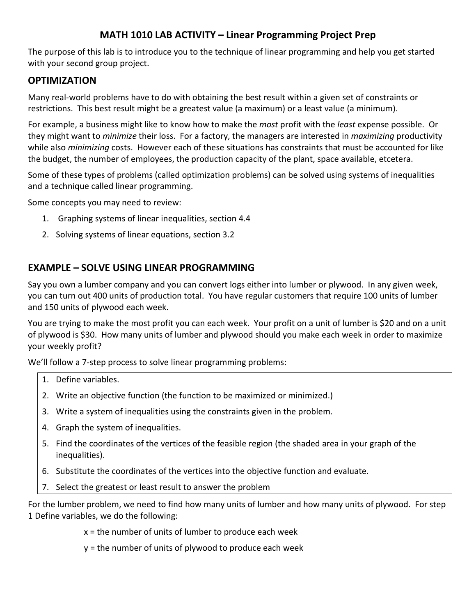## **MATH 1010 LAB ACTIVITY – Linear Programming Project Prep**

The purpose of this lab is to introduce you to the technique of linear programming and help you get started with your second group project.

## **OPTIMIZATION**

Many real-world problems have to do with obtaining the best result within a given set of constraints or restrictions. This best result might be a greatest value (a maximum) or a least value (a minimum).

For example, a business might like to know how to make the *most* profit with the *least* expense possible. Or they might want to *minimize* their loss. For a factory, the managers are interested in *maximizing* productivity while also *minimizing* costs. However each of these situations has constraints that must be accounted for like the budget, the number of employees, the production capacity of the plant, space available, etcetera.

Some of these types of problems (called optimization problems) can be solved using systems of inequalities and a technique called linear programming.

Some concepts you may need to review:

- 1. Graphing systems of linear inequalities, section 4.4
- 2. Solving systems of linear equations, section 3.2

## **EXAMPLE – SOLVE USING LINEAR PROGRAMMING**

Say you own a lumber company and you can convert logs either into lumber or plywood. In any given week, you can turn out 400 units of production total. You have regular customers that require 100 units of lumber and 150 units of plywood each week.

You are trying to make the most profit you can each week. Your profit on a unit of lumber is \$20 and on a unit of plywood is \$30. How many units of lumber and plywood should you make each week in order to maximize your weekly profit?

We'll follow a 7-step process to solve linear programming problems:

- 1. Define variables.
- 2. Write an objective function (the function to be maximized or minimized.)
- 3. Write a system of inequalities using the constraints given in the problem.
- 4. Graph the system of inequalities.
- 5. Find the coordinates of the vertices of the feasible region (the shaded area in your graph of the inequalities).
- 6. Substitute the coordinates of the vertices into the objective function and evaluate.
- 7. Select the greatest or least result to answer the problem

For the lumber problem, we need to find how many units of lumber and how many units of plywood. For step 1 Define variables, we do the following:

 $x =$  the number of units of lumber to produce each week

y = the number of units of plywood to produce each week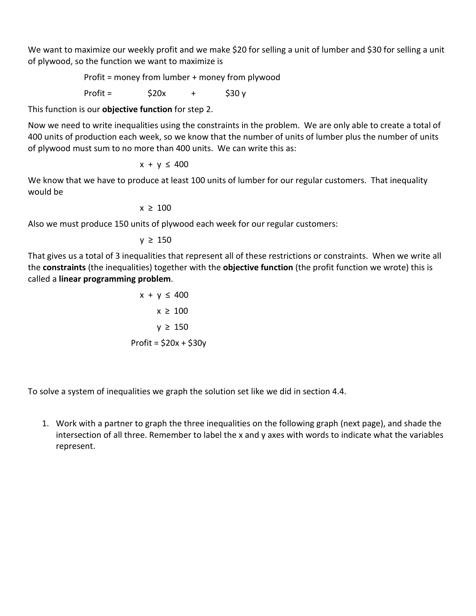We want to maximize our weekly profit and we make \$20 for selling a unit of lumber and \$30 for selling a unit of plywood, so the function we want to maximize is

Profit = money from lumber + money from plywood

Profit =  $$20x$  +  $$30 y$ 

This function is our **objective function** for step 2.

Now we need to write inequalities using the constraints in the problem. We are only able to create a total of 400 units of production each week, so we know that the number of units of lumber plus the number of units of plywood must sum to no more than 400 units. We can write this as:

$$
x + y \leq 400
$$

We know that we have to produce at least 100 units of lumber for our regular customers. That inequality would be

 $x \ge 100$ 

Also we must produce 150 units of plywood each week for our regular customers:

 $y ≥ 150$ 

That gives us a total of 3 inequalities that represent all of these restrictions or constraints. When we write all the **constraints** (the inequalities) together with the **objective function** (the profit function we wrote) this is called a **linear programming problem**.

> $x + y \le 400$  $x \geq 100$  $y \geq 150$ Profit =  $$20x + $30y$

To solve a system of inequalities we graph the solution set like we did in section 4.4.

1. Work with a partner to graph the three inequalities on the following graph (next page), and shade the intersection of all three. Remember to label the x and y axes with words to indicate what the variables represent.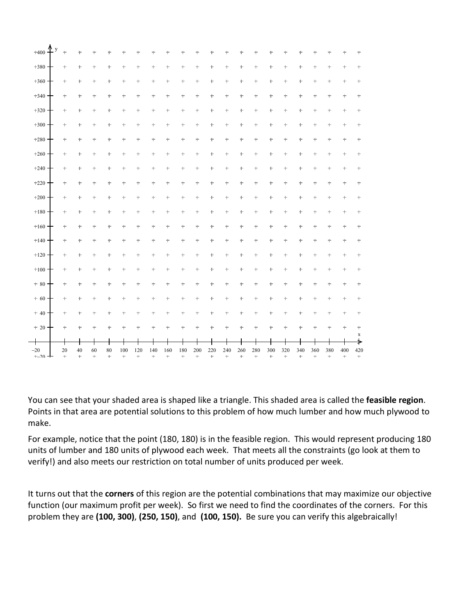| $\uparrow$<br>y<br>$+400$ | $^+$            | $^+$              | $^{+}$       | ÷                  | ÷          | ÷                | ÷        | ÷                | $\ddag$                  | ÷                | ÷         | $\ddag$           | $\ddag$    | $\ddag$             | ÷                  | $\ddag$      | ÷        | ÷          | ÷             | $\ddag$          | $^+$                  |
|---------------------------|-----------------|-------------------|--------------|--------------------|------------|------------------|----------|------------------|--------------------------|------------------|-----------|-------------------|------------|---------------------|--------------------|--------------|----------|------------|---------------|------------------|-----------------------|
| $+380$                    | $\ddot{}$       | ÷                 | ÷            | $\pm$              | t          | ÷                | ÷        | $^+$             | $\pm$                    | t                | t         | t                 | $\pm$      | t                   | ÷                  | t            | $\pm$    | t          | ÷             | $\pm$            | $\pm$                 |
| $+360$                    | $^+$            | $\mathrm{+}$      | $^+$         | $^+$               | $\ddag$    | $\pm$            | $^+$     | $^+$             | $^+$                     | $\pm$            | $\ddag$   | $^+$              | $^+$       | $^+$                | $^+$               | $\mathrm{+}$ | $\ddag$  | $\ddag$    | $^+$          | $^+$             | $^+$                  |
| $+340$                    | $\ddag$         | $\mathrm{+}$      | $\pm$        | $^+$               | $\ddag$    | $\ddag$          | $\ddag$  | $\ddag$          | $\ddag$                  | $\ddot{}$        | $\ddag$   | $\ddag$           | $\ddag$    | $\ddag$             | $^+$               | $\ddag$      | $\ddag$  | $\ddag$    | $\pm$         | $^+$             | $^+$                  |
| $+320$                    | $\ddag$         | $\ddag$           | $\ddag$      | $\ddag$            | $\ddag$    | $^{+}$           | $\ddag$  | $\ddag$          | $\ddag$                  | $\ddot{}$        | $\ddot{}$ | $\ddag$           | $\ddag$    | $\ddag$             | $^+$               | $\ddag$      | $\ddag$  | $\ddag$    | $^+$          | $^+$             | $^+$                  |
| $+300$                    | $\pm$           | $\pm$             | $\pm$        | $\ddag$            | ÷          | $\pm$            | $\ddag$  | $\ddag$          | $\pm$                    | ÷                | ÷         | $\pm$             | $\pm$      | $\ddot{}$           | $\pm$              | $\pm$        | ÷        | $\pm$      | $\pm$         | $\pm$            | $\pm$                 |
| $+280$                    | $^+$            | $^+$              | $^+$         | $^+$               | $^+$       | $\pm$            | $^+$     | $^+$             | $^+$                     | $\ddag$          | $^+$      | $^+$              | $^+$       | $^+$                | $^+$               | $\mathrm{+}$ | $\ddag$  | $^+$       | $^+$          | $^+$             | $^+$                  |
| $+260$                    | $\ddag$         | $\ddag$           | $\mathrm{+}$ | $^+$               | $\ddag$    | $\ddag$          | $\ddag$  | $\ddag$          | $\ddag$                  | $\ddag$          | $\ddag$   | $\ddag$           | $\ddag$    | $^{+}$              | $\mathrm{+}$       | $\ddag$      | $\ddag$  | $\ddag$    | $\ddag$       | $^+$             | $^+$                  |
| $+240$                    | $\ddag$         | $\qquad \qquad +$ | $\ddag$      | $\ddag$            | $\ddag$    | $\ddag$          | $\ddag$  | $\ddag$          | $\ddag$                  | $\ddot{}$        | $\ddot{}$ | $\qquad \qquad +$ | $\ddag$    | $\ddag$             | $^+$               | $\ddag$      | $\ddag$  | ÷          | $^+$          | $^+$             | $^+$                  |
| $+220$                    | $\ddag$         | $\ddag$           | $\pm$        | $\pm$              | ÷          | $\ddag$          | $\ddag$  | $\pm$            | $^+$                     | $\ddag$          | ÷         | $^+$              | $\ddag$    | $\ddot{}$           | $\pm$              | $\pm$        | ÷        | t          | $^+$          | $\pm$            | $^+$                  |
| $+200$                    | $^+$            | $^+$              | $^+$         | $^+$               | ÷          | $\pm$            | $^+$     | $\ddag$          | $\ddag$                  | $\pm$            | $\ddot{}$ | $\pm$             | $\pm$      | $\ddot{}$           | $^+$               | $\pm$        | $\pm$    | $\ddag$    | ÷             | $^+$             | $\pm$                 |
| $\pm 180$                 | $^+$            | $\mathrm{+}$      | $^+$         | $^+$               | $\ddag$    | $\ddag$          | $^+$     | $\mathrm{+}$     | $^+$                     | $^+$             | ÷         | $^+$              | $\pm$      | $\ddag$             | $^+$               | $\mathrm{+}$ | $\ddag$  | $\ddag$    | $^+$          | $^+$             | $^+$                  |
| $+160$                    | $\ddag$         | $\ddag$           | $\ddag$      | $\ddag$            | $\ddag$    | ÷                | $\ddag$  | $\ddag$          | $\ddag$                  | $\ddot{}$        | ÷         | $\ddag$           | $\ddag$    | $\ddagger$          | $\ddag$            | $\ddag$      | $\ddag$  | $\ddag$    | $^+$          | $\ddag$          | $^+$                  |
| $+140$                    | $\ddag$         | $\ddag$           | $\ddag$      | $\pm$              | $\ddag$    | $\ddag$          | $\ddag$  | $\ddag$          | $\ddag$                  | $\ddag$          | $\ddag$   | $\qquad \qquad +$ | $\ddot{}$  | $\ddag$             | $\pm$              | $\ddag$      | $\ddag$  | $\ddag$    | $\pm$         | $\ddag$          | $^+$                  |
| $+120$                    | $^+$            | $^+$              | $^+$         | $^+$               | ÷          | $^+$             | $^+$     | $\ddagger$       | $^+$                     | $\ddag$          | ÷         | $^+$              | $^+$       | $^+$                | $^+$               | $\pm$        | ÷        | $\ddagger$ | $^+$          | $^+$             | $^+$                  |
| $\pm 100$                 | $^+$            | $\ddag$           | $\pm$        | $^+$               | $\pm$      | $^+$             | $\ddag$  | $\ddot{}$        | $\ddag$                  | $\pm$            | $\ddag$   | $\ddag$           | $\ddag$    | $^{+}$              | $\hskip 0.025in +$ | ÷            | $^+$     | $^+$       | $^+$          | $\ddag$          | $^+$                  |
| $+80$                     | $\ddag$         | $^+$              | $\pm$        | $^+$               | $\ddag$    | $\ddag$          | $\ddag$  | $\ddag$          | $\ddag$                  | $\ddot{}$        | $\ddag$   | $\qquad \qquad +$ | $\ddag$    | $\ddag$             | $^+$               | $\ddag$      | $\ddag$  | $\ddag$    | $^+$          | $\ddag$          | $\!+$                 |
| $+60$                     | $\ddag$         | $^+$              | $^+$         | $^+$               | $\ddag$    | $\ddag$          | $\ddag$  | $\ddag$          | $^+$                     | $\ddag$          | $\ddag$   | $\qquad \qquad +$ | $\ddag$    | $\ddag$             | $^+$               | $^+$         | $\ddag$  | $\ddag$    | $^+$          | $^+$             | $^+$                  |
| $+40$                     | $\ddag$         | ÷                 | $\pm$        | $^+$               | ÷          | ÷                | ÷        | t                | $\pm$                    | ÷                | t         | $\pm$             | $^+$       | $\ddot{}$           | $\pm$              | $\pm$        | ÷        | t          | ÷             | $\pm$            | $\pm$                 |
| $+20$ +                   | $\ddagger$      | $^+$              | $\ddagger$   | $\ddag$            | $\ddag$    | ÷                | $\pm$    | $\ddag$          | $\ddagger$               | $\ddot{}$        | $\ddot{}$ | $\ddag$           | $\pm$      | $\ddot{}$           | $\pm$              | ÷            | $\pm$    | $\ddag$    | $\ddag$       | $\ddag$          | $^+$                  |
|                           | ┭               |                   |              | Ť                  |            |                  |          | Ť                | ╉                        |                  |           |                   |            |                     |                    |              |          |            |               |                  | $\mathbf x$<br>$\ast$ |
| $-20$<br>$+20$<br>┷       | 20<br>$\ddot{}$ | 40<br>$+$         | 60<br>$+$    | 80<br>$\leftarrow$ | 100<br>$+$ | 120<br>$\ddot{}$ | 140<br>÷ | 160<br>$\ddot{}$ | 180<br>$\qquad \qquad +$ | 200<br>$\ddot{}$ | 220<br>÷  | 240<br>$+$        | 260<br>$+$ | 280<br>$\leftarrow$ | 300<br>$+$         | 320<br>$+$   | 340<br>÷ | 360<br>÷   | 380<br>$\div$ | 400<br>$\ddot{}$ | 420<br>$\leftarrow$   |

You can see that your shaded area is shaped like a triangle. This shaded area is called the **feasible region**. Points in that area are potential solutions to this problem of how much lumber and how much plywood to make.

For example, notice that the point (180, 180) is in the feasible region. This would represent producing 180 units of lumber and 180 units of plywood each week. That meets all the constraints (go look at them to verify!) and also meets our restriction on total number of units produced per week.

It turns out that the **corners** of this region are the potential combinations that may maximize our objective function (our maximum profit per week). So first we need to find the coordinates of the corners. For this problem they are **(100, 300)**, **(250, 150)**, and **(100, 150).** Be sure you can verify this algebraically!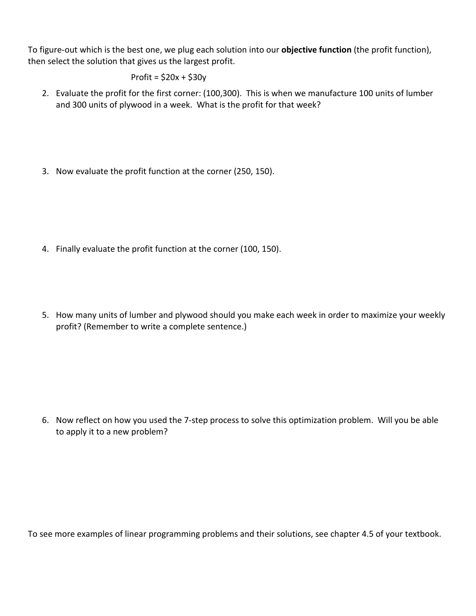To figure-out which is the best one, we plug each solution into our **objective function** (the profit function), then select the solution that gives us the largest profit.

$$
Profit = $20x + $30y
$$

- 2. Evaluate the profit for the first corner: (100,300). This is when we manufacture 100 units of lumber and 300 units of plywood in a week. What is the profit for that week?
- 3. Now evaluate the profit function at the corner (250, 150).

- 4. Finally evaluate the profit function at the corner (100, 150).
- 5. How many units of lumber and plywood should you make each week in order to maximize your weekly profit? (Remember to write a complete sentence.)

6. Now reflect on how you used the 7-step process to solve this optimization problem. Will you be able to apply it to a new problem?

To see more examples of linear programming problems and their solutions, see chapter 4.5 of your textbook.